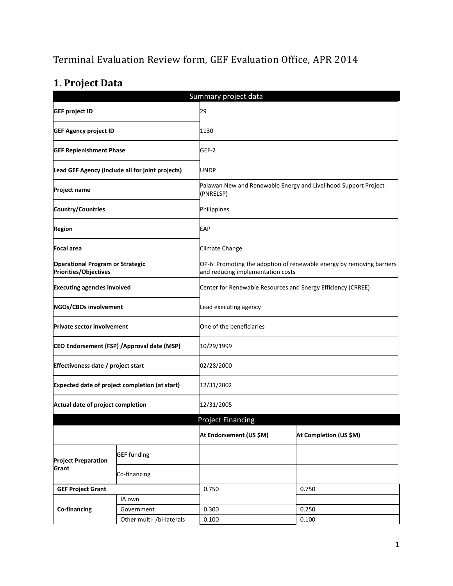# Terminal Evaluation Review form, GEF Evaluation Office, APR 2014

# **1. Project Data**

| Summary project data                                             |                                                  |                                                              |                                                                                                            |  |  |
|------------------------------------------------------------------|--------------------------------------------------|--------------------------------------------------------------|------------------------------------------------------------------------------------------------------------|--|--|
| <b>GEF project ID</b>                                            |                                                  | 29                                                           |                                                                                                            |  |  |
| <b>GEF Agency project ID</b>                                     |                                                  | 1130                                                         |                                                                                                            |  |  |
| <b>GEF Replenishment Phase</b>                                   |                                                  | GEF-2                                                        |                                                                                                            |  |  |
|                                                                  | Lead GEF Agency (include all for joint projects) | <b>UNDP</b>                                                  |                                                                                                            |  |  |
| <b>Project name</b>                                              |                                                  | (PNRELSP)                                                    | Palawan New and Renewable Energy and Livelihood Support Project                                            |  |  |
| Country/Countries                                                |                                                  | Philippines                                                  |                                                                                                            |  |  |
| <b>Region</b>                                                    |                                                  | <b>EAP</b>                                                   |                                                                                                            |  |  |
| Focal area                                                       |                                                  | Climate Change                                               |                                                                                                            |  |  |
| <b>Operational Program or Strategic</b><br>Priorities/Objectives |                                                  |                                                              | OP-6: Promoting the adoption of renewable energy by removing barriers<br>and reducing implementation costs |  |  |
| <b>Executing agencies involved</b>                               |                                                  | Center for Renewable Resources and Energy Efficiency (CRREE) |                                                                                                            |  |  |
| NGOs/CBOs involvement                                            |                                                  | Lead executing agency                                        |                                                                                                            |  |  |
| <b>Private sector involvement</b>                                |                                                  | One of the beneficiaries                                     |                                                                                                            |  |  |
| CEO Endorsement (FSP) / Approval date (MSP)                      |                                                  | 10/29/1999                                                   |                                                                                                            |  |  |
| Effectiveness date / project start                               |                                                  | 02/28/2000                                                   |                                                                                                            |  |  |
|                                                                  | Expected date of project completion (at start)   | 12/31/2002                                                   |                                                                                                            |  |  |
| Actual date of project completion                                |                                                  | 12/31/2005                                                   |                                                                                                            |  |  |
|                                                                  |                                                  | <b>Project Financing</b>                                     |                                                                                                            |  |  |
|                                                                  |                                                  | At Endorsement (US \$M)                                      | At Completion (US \$M)                                                                                     |  |  |
| <b>Project Preparation</b>                                       | <b>GEF funding</b>                               |                                                              |                                                                                                            |  |  |
| Grant                                                            | Co-financing                                     |                                                              |                                                                                                            |  |  |
| <b>GEF Project Grant</b>                                         |                                                  | 0.750                                                        | 0.750                                                                                                      |  |  |
|                                                                  | IA own                                           |                                                              |                                                                                                            |  |  |
| Co-financing                                                     | Government                                       | 0.300                                                        | 0.250                                                                                                      |  |  |
|                                                                  | Other multi- /bi-laterals                        | 0.100                                                        | 0.100                                                                                                      |  |  |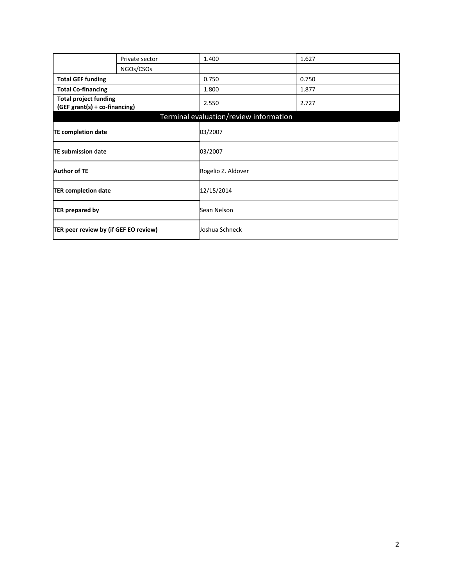|                                                               | Private sector | 1.400                                  | 1.627 |  |
|---------------------------------------------------------------|----------------|----------------------------------------|-------|--|
|                                                               | NGOs/CSOs      |                                        |       |  |
|                                                               |                |                                        |       |  |
| <b>Total GEF funding</b>                                      |                | 0.750                                  | 0.750 |  |
| <b>Total Co-financing</b>                                     |                | 1.800                                  | 1.877 |  |
| <b>Total project funding</b><br>(GEF grant(s) + co-financing) |                | 2.550                                  | 2.727 |  |
|                                                               |                | Terminal evaluation/review information |       |  |
| <b>TE completion date</b>                                     |                | 03/2007                                |       |  |
| <b>TE submission date</b>                                     |                | 03/2007                                |       |  |
| <b>Author of TE</b>                                           |                | Rogelio Z. Aldover                     |       |  |
| 12/15/2014<br><b>TER completion date</b>                      |                |                                        |       |  |
| <b>TER prepared by</b>                                        |                | Sean Nelson                            |       |  |
| TER peer review by (if GEF EO review)                         |                | Joshua Schneck                         |       |  |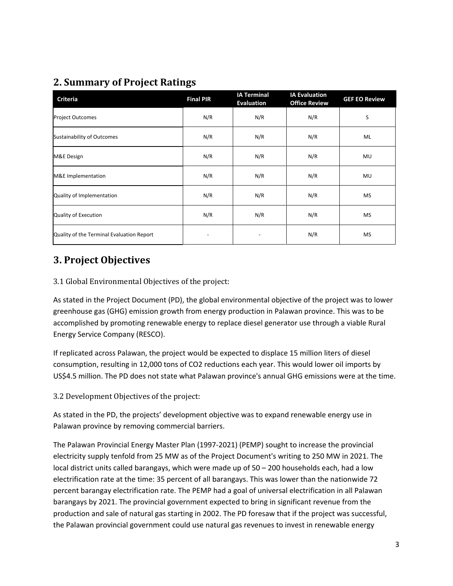## **2. Summary of Project Ratings**

| <b>Criteria</b>                           | <b>Final PIR</b> | <b>IA Terminal</b><br><b>Evaluation</b> | <b>IA Evaluation</b><br><b>Office Review</b> | <b>GEF EO Review</b> |
|-------------------------------------------|------------------|-----------------------------------------|----------------------------------------------|----------------------|
| <b>Project Outcomes</b>                   | N/R              | N/R                                     | N/R                                          | S                    |
| <b>Sustainability of Outcomes</b>         | N/R              | N/R                                     | N/R                                          | ML                   |
| M&E Design                                | N/R              | N/R                                     | N/R                                          | MU                   |
| M&E Implementation                        | N/R              | N/R                                     | N/R                                          | MU                   |
| Quality of Implementation                 | N/R              | N/R                                     | N/R                                          | <b>MS</b>            |
| Quality of Execution                      | N/R              | N/R                                     | N/R                                          | <b>MS</b>            |
| Quality of the Terminal Evaluation Report |                  |                                         | N/R                                          | <b>MS</b>            |

### **3. Project Objectives**

### 3.1 Global Environmental Objectives of the project:

As stated in the Project Document (PD), the global environmental objective of the project was to lower greenhouse gas (GHG) emission growth from energy production in Palawan province. This was to be accomplished by promoting renewable energy to replace diesel generator use through a viable Rural Energy Service Company (RESCO).

If replicated across Palawan, the project would be expected to displace 15 million liters of diesel consumption, resulting in 12,000 tons of CO2 reductions each year. This would lower oil imports by US\$4.5 million. The PD does not state what Palawan province's annual GHG emissions were at the time.

3.2 Development Objectives of the project:

As stated in the PD, the projects' development objective was to expand renewable energy use in Palawan province by removing commercial barriers.

The Palawan Provincial Energy Master Plan (1997-2021) (PEMP) sought to increase the provincial electricity supply tenfold from 25 MW as of the Project Document's writing to 250 MW in 2021. The local district units called barangays, which were made up of 50 – 200 households each, had a low electrification rate at the time: 35 percent of all barangays. This was lower than the nationwide 72 percent barangay electrification rate. The PEMP had a goal of universal electrification in all Palawan barangays by 2021. The provincial government expected to bring in significant revenue from the production and sale of natural gas starting in 2002. The PD foresaw that if the project was successful, the Palawan provincial government could use natural gas revenues to invest in renewable energy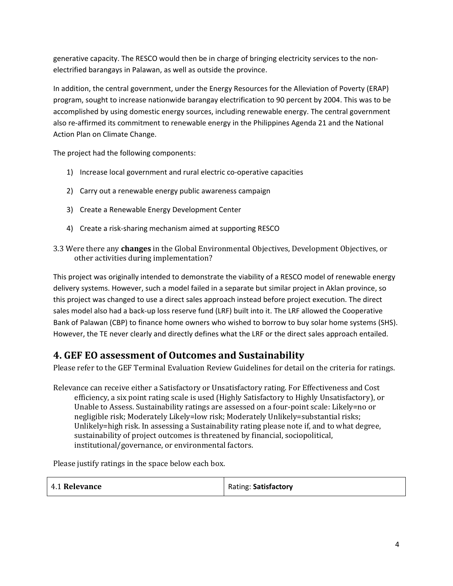generative capacity. The RESCO would then be in charge of bringing electricity services to the nonelectrified barangays in Palawan, as well as outside the province.

In addition, the central government, under the Energy Resources for the Alleviation of Poverty (ERAP) program, sought to increase nationwide barangay electrification to 90 percent by 2004. This was to be accomplished by using domestic energy sources, including renewable energy. The central government also re-affirmed its commitment to renewable energy in the Philippines Agenda 21 and the National Action Plan on Climate Change.

The project had the following components:

- 1) Increase local government and rural electric co-operative capacities
- 2) Carry out a renewable energy public awareness campaign
- 3) Create a Renewable Energy Development Center
- 4) Create a risk-sharing mechanism aimed at supporting RESCO
- 3.3 Were there any **changes** in the Global Environmental Objectives, Development Objectives, or other activities during implementation?

This project was originally intended to demonstrate the viability of a RESCO model of renewable energy delivery systems. However, such a model failed in a separate but similar project in Aklan province, so this project was changed to use a direct sales approach instead before project execution. The direct sales model also had a back-up loss reserve fund (LRF) built into it. The LRF allowed the Cooperative Bank of Palawan (CBP) to finance home owners who wished to borrow to buy solar home systems (SHS). However, the TE never clearly and directly defines what the LRF or the direct sales approach entailed.

### **4. GEF EO assessment of Outcomes and Sustainability**

Please refer to the GEF Terminal Evaluation Review Guidelines for detail on the criteria for ratings.

Relevance can receive either a Satisfactory or Unsatisfactory rating. For Effectiveness and Cost efficiency, a six point rating scale is used (Highly Satisfactory to Highly Unsatisfactory), or Unable to Assess. Sustainability ratings are assessed on a four-point scale: Likely=no or negligible risk; Moderately Likely=low risk; Moderately Unlikely=substantial risks; Unlikely=high risk. In assessing a Sustainability rating please note if, and to what degree, sustainability of project outcomes is threatened by financial, sociopolitical, institutional/governance, or environmental factors.

Please justify ratings in the space below each box.

| 4.1 Relevance | Rating: Satisfactory |
|---------------|----------------------|
|---------------|----------------------|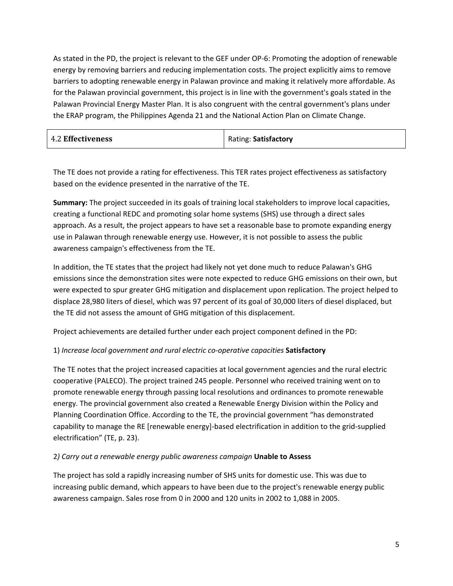As stated in the PD, the project is relevant to the GEF under OP-6: Promoting the adoption of renewable energy by removing barriers and reducing implementation costs. The project explicitly aims to remove barriers to adopting renewable energy in Palawan province and making it relatively more affordable. As for the Palawan provincial government, this project is in line with the government's goals stated in the Palawan Provincial Energy Master Plan. It is also congruent with the central government's plans under the ERAP program, the Philippines Agenda 21 and the National Action Plan on Climate Change.

| <b>4.2 Effectiveness</b> | Rating: Satisfactory |  |
|--------------------------|----------------------|--|
|                          |                      |  |

The TE does not provide a rating for effectiveness. This TER rates project effectiveness as satisfactory based on the evidence presented in the narrative of the TE.

**Summary:** The project succeeded in its goals of training local stakeholders to improve local capacities, creating a functional REDC and promoting solar home systems (SHS) use through a direct sales approach. As a result, the project appears to have set a reasonable base to promote expanding energy use in Palawan through renewable energy use. However, it is not possible to assess the public awareness campaign's effectiveness from the TE.

In addition, the TE states that the project had likely not yet done much to reduce Palawan's GHG emissions since the demonstration sites were note expected to reduce GHG emissions on their own, but were expected to spur greater GHG mitigation and displacement upon replication. The project helped to displace 28,980 liters of diesel, which was 97 percent of its goal of 30,000 liters of diesel displaced, but the TE did not assess the amount of GHG mitigation of this displacement.

Project achievements are detailed further under each project component defined in the PD:

#### 1) *Increase local government and rural electric co-operative capacities* **Satisfactory**

The TE notes that the project increased capacities at local government agencies and the rural electric cooperative (PALECO). The project trained 245 people. Personnel who received training went on to promote renewable energy through passing local resolutions and ordinances to promote renewable energy. The provincial government also created a Renewable Energy Division within the Policy and Planning Coordination Office. According to the TE, the provincial government "has demonstrated capability to manage the RE [renewable energy]-based electrification in addition to the grid-supplied electrification" (TE, p. 23).

#### 2*) Carry out a renewable energy public awareness campaign* **Unable to Assess**

The project has sold a rapidly increasing number of SHS units for domestic use. This was due to increasing public demand, which appears to have been due to the project's renewable energy public awareness campaign. Sales rose from 0 in 2000 and 120 units in 2002 to 1,088 in 2005.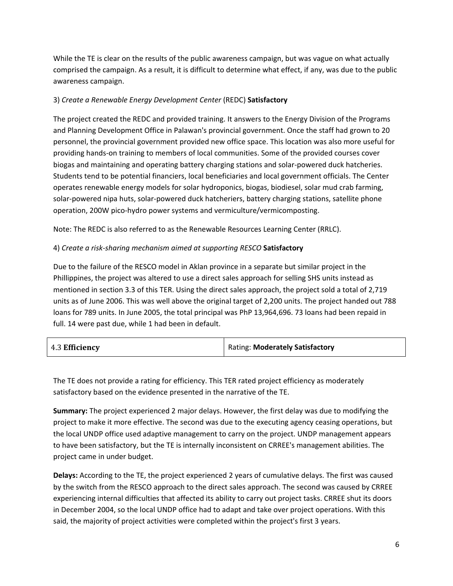While the TE is clear on the results of the public awareness campaign, but was vague on what actually comprised the campaign. As a result, it is difficult to determine what effect, if any, was due to the public awareness campaign.

#### 3) *Create a Renewable Energy Development Center* (REDC) **Satisfactory**

The project created the REDC and provided training. It answers to the Energy Division of the Programs and Planning Development Office in Palawan's provincial government. Once the staff had grown to 20 personnel, the provincial government provided new office space. This location was also more useful for providing hands-on training to members of local communities. Some of the provided courses cover biogas and maintaining and operating battery charging stations and solar-powered duck hatcheries. Students tend to be potential financiers, local beneficiaries and local government officials. The Center operates renewable energy models for solar hydroponics, biogas, biodiesel, solar mud crab farming, solar-powered nipa huts, solar-powered duck hatcheriers, battery charging stations, satellite phone operation, 200W pico-hydro power systems and vermiculture/vermicomposting.

Note: The REDC is also referred to as the Renewable Resources Learning Center (RRLC).

#### 4) *Create a risk-sharing mechanism aimed at supporting RESCO* **Satisfactory**

Due to the failure of the RESCO model in Aklan province in a separate but similar project in the Phillippines, the project was altered to use a direct sales approach for selling SHS units instead as mentioned in section 3.3 of this TER. Using the direct sales approach, the project sold a total of 2,719 units as of June 2006. This was well above the original target of 2,200 units. The project handed out 788 loans for 789 units. In June 2005, the total principal was PhP 13,964,696. 73 loans had been repaid in full. 14 were past due, while 1 had been in default.

| 4.3 Efficiency | Rating: Moderately Satisfactory |
|----------------|---------------------------------|
|----------------|---------------------------------|

The TE does not provide a rating for efficiency. This TER rated project efficiency as moderately satisfactory based on the evidence presented in the narrative of the TE.

**Summary:** The project experienced 2 major delays. However, the first delay was due to modifying the project to make it more effective. The second was due to the executing agency ceasing operations, but the local UNDP office used adaptive management to carry on the project. UNDP management appears to have been satisfactory, but the TE is internally inconsistent on CRREE's management abilities. The project came in under budget.

**Delays:** According to the TE, the project experienced 2 years of cumulative delays. The first was caused by the switch from the RESCO approach to the direct sales approach. The second was caused by CRREE experiencing internal difficulties that affected its ability to carry out project tasks. CRREE shut its doors in December 2004, so the local UNDP office had to adapt and take over project operations. With this said, the majority of project activities were completed within the project's first 3 years.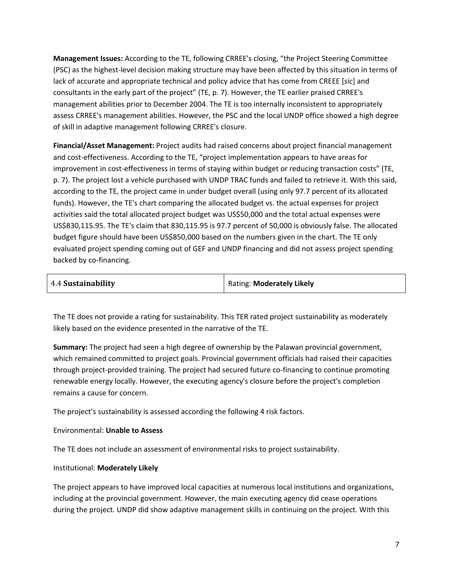**Management Issues:** According to the TE, following CRREE's closing, "the Project Steering Committee (PSC) as the highest-level decision making structure may have been affected by this situation in terms of lack of accurate and appropriate technical and policy advice that has come from CREEE [*sic*] and consultants in the early part of the project" (TE, p. 7). However, the TE earlier praised CRREE's management abilities prior to December 2004. The TE is too internally inconsistent to appropriately assess CRREE's management abilities. However, the PSC and the local UNDP office showed a high degree of skill in adaptive management following CRREE's closure.

**Financial/Asset Management:** Project audits had raised concerns about project financial management and cost-effectiveness. According to the TE, "project implementation appears to have areas for improvement in cost-effectiveness in terms of staying within budget or reducing transaction costs" (TE, p. 7). The project lost a vehicle purchased with UNDP TRAC funds and failed to retrieve it. With this said, according to the TE, the project came in under budget overall (using only 97.7 percent of its allocated funds). However, the TE's chart comparing the allocated budget vs. the actual expenses for project activities said the total allocated project budget was US\$50,000 and the total actual expenses were US\$830,115.95. The TE's claim that 830,115.95 is 97.7 percent of 50,000 is obviously false. The allocated budget figure should have been US\$850,000 based on the numbers given in the chart. The TE only evaluated project spending coming out of GEF and UNDP financing and did not assess project spending backed by co-financing.

| 4.4 Sustainability | Rating: Moderately Likely |  |
|--------------------|---------------------------|--|
|                    |                           |  |

The TE does not provide a rating for sustainability. This TER rated project sustainability as moderately likely based on the evidence presented in the narrative of the TE.

**Summary:** The project had seen a high degree of ownership by the Palawan provincial government, which remained committed to project goals. Provincial government officials had raised their capacities through project-provided training. The project had secured future co-financing to continue promoting renewable energy locally. However, the executing agency's closure before the project's completion remains a cause for concern.

The project's sustainability is assessed according the following 4 risk factors.

#### Environmental: **Unable to Assess**

The TE does not include an assessment of environmental risks to project sustainability.

#### Institutional: **Moderately Likely**

The project appears to have improved local capacities at numerous local institutions and organizations, including at the provincial government. However, the main executing agency did cease operations during the project. UNDP did show adaptive management skills in continuing on the project. With this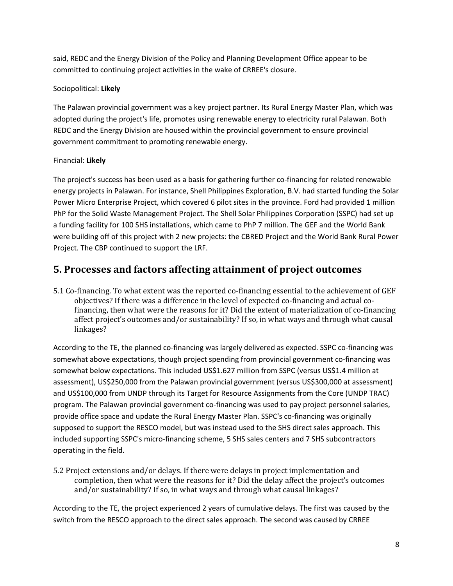said, REDC and the Energy Division of the Policy and Planning Development Office appear to be committed to continuing project activities in the wake of CRREE's closure.

### Sociopolitical: **Likely**

The Palawan provincial government was a key project partner. Its Rural Energy Master Plan, which was adopted during the project's life, promotes using renewable energy to electricity rural Palawan. Both REDC and the Energy Division are housed within the provincial government to ensure provincial government commitment to promoting renewable energy.

#### Financial: **Likely**

The project's success has been used as a basis for gathering further co-financing for related renewable energy projects in Palawan. For instance, Shell Philippines Exploration, B.V. had started funding the Solar Power Micro Enterprise Project, which covered 6 pilot sites in the province. Ford had provided 1 million PhP for the Solid Waste Management Project. The Shell Solar Philippines Corporation (SSPC) had set up a funding facility for 100 SHS installations, which came to PhP 7 million. The GEF and the World Bank were building off of this project with 2 new projects: the CBRED Project and the World Bank Rural Power Project. The CBP continued to support the LRF.

### **5. Processes and factors affecting attainment of project outcomes**

5.1 Co-financing. To what extent was the reported co-financing essential to the achievement of GEF objectives? If there was a difference in the level of expected co-financing and actual cofinancing, then what were the reasons for it? Did the extent of materialization of co-financing affect project's outcomes and/or sustainability? If so, in what ways and through what causal linkages?

According to the TE, the planned co-financing was largely delivered as expected. SSPC co-financing was somewhat above expectations, though project spending from provincial government co-financing was somewhat below expectations. This included US\$1.627 million from SSPC (versus US\$1.4 million at assessment), US\$250,000 from the Palawan provincial government (versus US\$300,000 at assessment) and US\$100,000 from UNDP through its Target for Resource Assignments from the Core (UNDP TRAC) program. The Palawan provincial government co-financing was used to pay project personnel salaries, provide office space and update the Rural Energy Master Plan. SSPC's co-financing was originally supposed to support the RESCO model, but was instead used to the SHS direct sales approach. This included supporting SSPC's micro-financing scheme, 5 SHS sales centers and 7 SHS subcontractors operating in the field.

5.2 Project extensions and/or delays. If there were delays in project implementation and completion, then what were the reasons for it? Did the delay affect the project's outcomes and/or sustainability? If so, in what ways and through what causal linkages?

According to the TE, the project experienced 2 years of cumulative delays. The first was caused by the switch from the RESCO approach to the direct sales approach. The second was caused by CRREE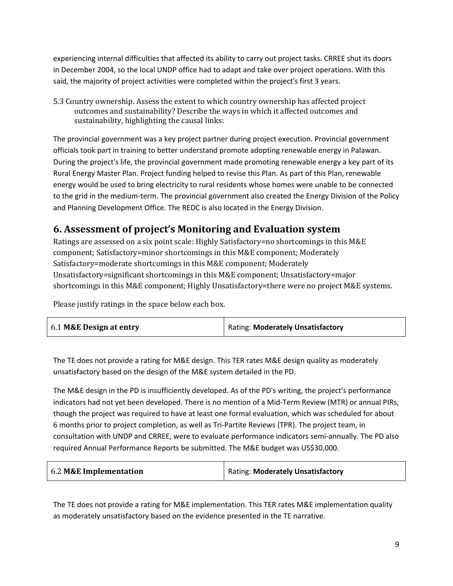experiencing internal difficulties that affected its ability to carry out project tasks. CRREE shut its doors in December 2004, so the local UNDP office had to adapt and take over project operations. With this said, the majority of project activities were completed within the project's first 3 years.

5.3 Country ownership. Assess the extent to which country ownership has affected project outcomes and sustainability? Describe the ways in which it affected outcomes and sustainability, highlighting the causal links:

The provincial government was a key project partner during project execution. Provincial government officials took part in training to better understand promote adopting renewable energy in Palawan. During the project's life, the provincial government made promoting renewable energy a key part of its Rural Energy Master Plan. Project funding helped to revise this Plan. As part of this Plan, renewable energy would be used to bring electricity to rural residents whose homes were unable to be connected to the grid in the medium-term. The provincial government also created the Energy Division of the Policy and Planning Development Office. The REDC is also located in the Energy Division.

### **6. Assessment of project's Monitoring and Evaluation system**

Ratings are assessed on a six point scale: Highly Satisfactory=no shortcomings in this M&E component; Satisfactory=minor shortcomings in this M&E component; Moderately Satisfactory=moderate shortcomings in this M&E component; Moderately Unsatisfactory=significant shortcomings in this M&E component; Unsatisfactory=major shortcomings in this M&E component; Highly Unsatisfactory=there were no project M&E systems.

Please justify ratings in the space below each box.

| 6.1 M&E Design at entry | Rating: Moderately Unsatisfactory |
|-------------------------|-----------------------------------|
|-------------------------|-----------------------------------|

The TE does not provide a rating for M&E design. This TER rates M&E design quality as moderately unsatisfactory based on the design of the M&E system detailed in the PD.

The M&E design in the PD is insufficiently developed. As of the PD's writing, the project's performance indicators had not yet been developed. There is no mention of a Mid-Term Review (MTR) or annual PIRs, though the project was required to have at least one formal evaluation, which was scheduled for about 6 months prior to project completion, as well as Tri-Partite Reviews (TPR). The project team, in consultation with UNDP and CRREE, were to evaluate performance indicators semi-annually. The PD also required Annual Performance Reports be submitted. The M&E budget was US\$30,000.

| 6.2 M&E Implementation | Rating: Moderately Unsatisfactory |
|------------------------|-----------------------------------|
|------------------------|-----------------------------------|

The TE does not provide a rating for M&E implementation. This TER rates M&E implementation quality as moderately unsatisfactory based on the evidence presented in the TE narrative.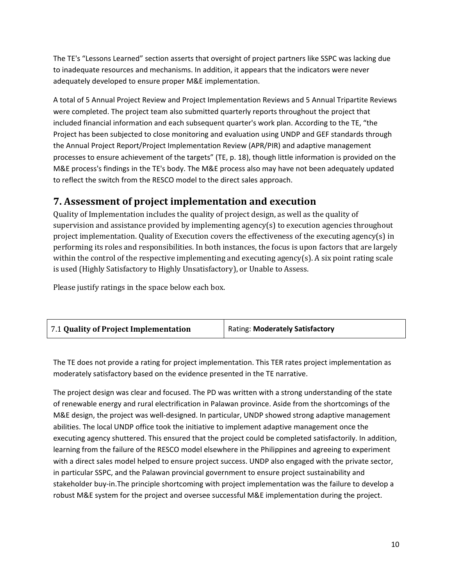The TE's "Lessons Learned" section asserts that oversight of project partners like SSPC was lacking due to inadequate resources and mechanisms. In addition, it appears that the indicators were never adequately developed to ensure proper M&E implementation.

A total of 5 Annual Project Review and Project Implementation Reviews and 5 Annual Tripartite Reviews were completed. The project team also submitted quarterly reports throughout the project that included financial information and each subsequent quarter's work plan. According to the TE, "the Project has been subjected to close monitoring and evaluation using UNDP and GEF standards through the Annual Project Report/Project Implementation Review (APR/PIR) and adaptive management processes to ensure achievement of the targets" (TE, p. 18), though little information is provided on the M&E process's findings in the TE's body. The M&E process also may have not been adequately updated to reflect the switch from the RESCO model to the direct sales approach.

### **7. Assessment of project implementation and execution**

Quality of Implementation includes the quality of project design, as well as the quality of supervision and assistance provided by implementing agency(s) to execution agencies throughout project implementation. Quality of Execution covers the effectiveness of the executing agency(s) in performing its roles and responsibilities. In both instances, the focus is upon factors that are largely within the control of the respective implementing and executing agency(s). A six point rating scale is used (Highly Satisfactory to Highly Unsatisfactory), or Unable to Assess.

Please justify ratings in the space below each box.

The TE does not provide a rating for project implementation. This TER rates project implementation as moderately satisfactory based on the evidence presented in the TE narrative.

The project design was clear and focused. The PD was written with a strong understanding of the state of renewable energy and rural electrification in Palawan province. Aside from the shortcomings of the M&E design, the project was well-designed. In particular, UNDP showed strong adaptive management abilities. The local UNDP office took the initiative to implement adaptive management once the executing agency shuttered. This ensured that the project could be completed satisfactorily. In addition, learning from the failure of the RESCO model elsewhere in the Philippines and agreeing to experiment with a direct sales model helped to ensure project success. UNDP also engaged with the private sector, in particular SSPC, and the Palawan provincial government to ensure project sustainability and stakeholder buy-in.The principle shortcoming with project implementation was the failure to develop a robust M&E system for the project and oversee successful M&E implementation during the project.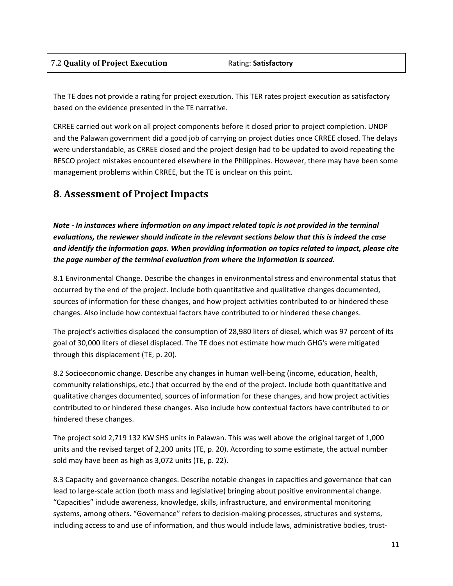| 7.2 Quality of Project Execution | Rating: Satisfactory |
|----------------------------------|----------------------|
|                                  |                      |

The TE does not provide a rating for project execution. This TER rates project execution as satisfactory based on the evidence presented in the TE narrative.

CRREE carried out work on all project components before it closed prior to project completion. UNDP and the Palawan government did a good job of carrying on project duties once CRREE closed. The delays were understandable, as CRREE closed and the project design had to be updated to avoid repeating the RESCO project mistakes encountered elsewhere in the Philippines. However, there may have been some management problems within CRREE, but the TE is unclear on this point.

### **8. Assessment of Project Impacts**

*Note - In instances where information on any impact related topic is not provided in the terminal evaluations, the reviewer should indicate in the relevant sections below that this is indeed the case and identify the information gaps. When providing information on topics related to impact, please cite the page number of the terminal evaluation from where the information is sourced.*

8.1 Environmental Change. Describe the changes in environmental stress and environmental status that occurred by the end of the project. Include both quantitative and qualitative changes documented, sources of information for these changes, and how project activities contributed to or hindered these changes. Also include how contextual factors have contributed to or hindered these changes.

The project's activities displaced the consumption of 28,980 liters of diesel, which was 97 percent of its goal of 30,000 liters of diesel displaced. The TE does not estimate how much GHG's were mitigated through this displacement (TE, p. 20).

8.2 Socioeconomic change. Describe any changes in human well-being (income, education, health, community relationships, etc.) that occurred by the end of the project. Include both quantitative and qualitative changes documented, sources of information for these changes, and how project activities contributed to or hindered these changes. Also include how contextual factors have contributed to or hindered these changes.

The project sold 2,719 132 KW SHS units in Palawan. This was well above the original target of 1,000 units and the revised target of 2,200 units (TE, p. 20). According to some estimate, the actual number sold may have been as high as 3,072 units (TE, p. 22).

8.3 Capacity and governance changes. Describe notable changes in capacities and governance that can lead to large-scale action (both mass and legislative) bringing about positive environmental change. "Capacities" include awareness, knowledge, skills, infrastructure, and environmental monitoring systems, among others. "Governance" refers to decision-making processes, structures and systems, including access to and use of information, and thus would include laws, administrative bodies, trust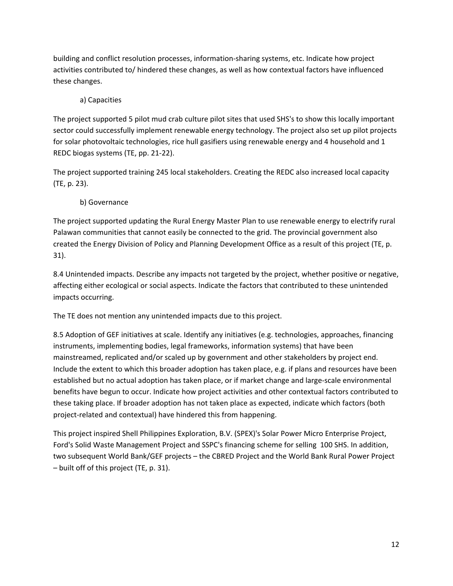building and conflict resolution processes, information-sharing systems, etc. Indicate how project activities contributed to/ hindered these changes, as well as how contextual factors have influenced these changes.

### a) Capacities

The project supported 5 pilot mud crab culture pilot sites that used SHS's to show this locally important sector could successfully implement renewable energy technology. The project also set up pilot projects for solar photovoltaic technologies, rice hull gasifiers using renewable energy and 4 household and 1 REDC biogas systems (TE, pp. 21-22).

The project supported training 245 local stakeholders. Creating the REDC also increased local capacity (TE, p. 23).

#### b) Governance

The project supported updating the Rural Energy Master Plan to use renewable energy to electrify rural Palawan communities that cannot easily be connected to the grid. The provincial government also created the Energy Division of Policy and Planning Development Office as a result of this project (TE, p. 31).

8.4 Unintended impacts. Describe any impacts not targeted by the project, whether positive or negative, affecting either ecological or social aspects. Indicate the factors that contributed to these unintended impacts occurring.

The TE does not mention any unintended impacts due to this project.

8.5 Adoption of GEF initiatives at scale. Identify any initiatives (e.g. technologies, approaches, financing instruments, implementing bodies, legal frameworks, information systems) that have been mainstreamed, replicated and/or scaled up by government and other stakeholders by project end. Include the extent to which this broader adoption has taken place, e.g. if plans and resources have been established but no actual adoption has taken place, or if market change and large-scale environmental benefits have begun to occur. Indicate how project activities and other contextual factors contributed to these taking place. If broader adoption has not taken place as expected, indicate which factors (both project-related and contextual) have hindered this from happening.

This project inspired Shell Philippines Exploration, B.V. (SPEX)'s Solar Power Micro Enterprise Project, Ford's Solid Waste Management Project and SSPC's financing scheme for selling 100 SHS. In addition, two subsequent World Bank/GEF projects – the CBRED Project and the World Bank Rural Power Project – built off of this project (TE, p. 31).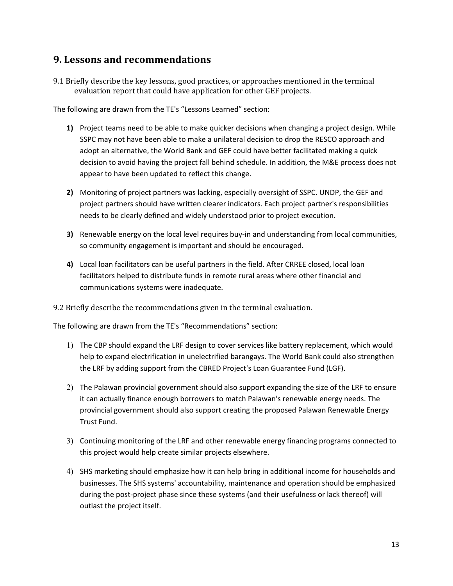### **9. Lessons and recommendations**

9.1 Briefly describe the key lessons, good practices, or approaches mentioned in the terminal evaluation report that could have application for other GEF projects.

The following are drawn from the TE's "Lessons Learned" section:

- **1)** Project teams need to be able to make quicker decisions when changing a project design. While SSPC may not have been able to make a unilateral decision to drop the RESCO approach and adopt an alternative, the World Bank and GEF could have better facilitated making a quick decision to avoid having the project fall behind schedule. In addition, the M&E process does not appear to have been updated to reflect this change.
- **2)** Monitoring of project partners was lacking, especially oversight of SSPC. UNDP, the GEF and project partners should have written clearer indicators. Each project partner's responsibilities needs to be clearly defined and widely understood prior to project execution.
- **3)** Renewable energy on the local level requires buy-in and understanding from local communities, so community engagement is important and should be encouraged.
- **4)** Local loan facilitators can be useful partners in the field. After CRREE closed, local loan facilitators helped to distribute funds in remote rural areas where other financial and communications systems were inadequate.

9.2 Briefly describe the recommendations given in the terminal evaluation.

The following are drawn from the TE's "Recommendations" section:

- 1) The CBP should expand the LRF design to cover services like battery replacement, which would help to expand electrification in unelectrified barangays. The World Bank could also strengthen the LRF by adding support from the CBRED Project's Loan Guarantee Fund (LGF).
- 2) The Palawan provincial government should also support expanding the size of the LRF to ensure it can actually finance enough borrowers to match Palawan's renewable energy needs. The provincial government should also support creating the proposed Palawan Renewable Energy Trust Fund.
- 3) Continuing monitoring of the LRF and other renewable energy financing programs connected to this project would help create similar projects elsewhere.
- 4) SHS marketing should emphasize how it can help bring in additional income for households and businesses. The SHS systems' accountability, maintenance and operation should be emphasized during the post-project phase since these systems (and their usefulness or lack thereof) will outlast the project itself.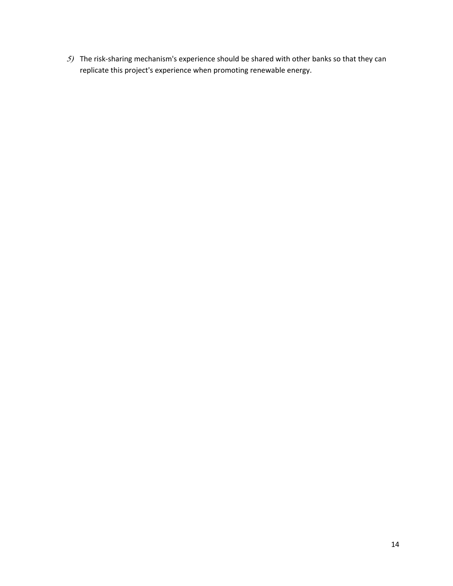) The risk-sharing mechanism's experience should be shared with other banks so that they can replicate this project's experience when promoting renewable energy.